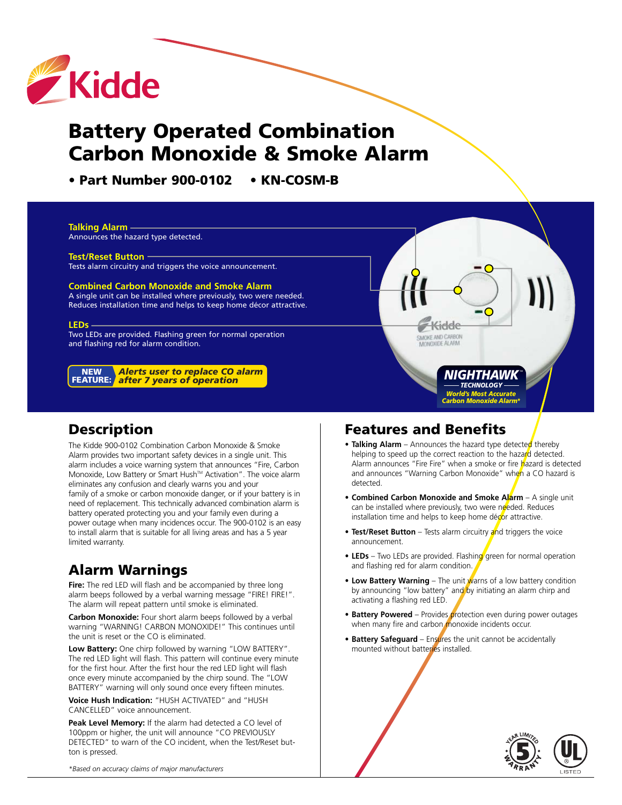

# **Battery Operated Combination Carbon Monoxide & Smoke Alarm**

**• Part Number 900-0102 • KN-COSM-B**



*World's Most Accurate Carbon Monoxide Alarm\**

# **Description**

The Kidde 900-0102 Combination Carbon Monoxide & Smoke Alarm provides two important safety devices in a single unit. This alarm includes a voice warning system that announces "Fire, Carbon Monoxide, Low Battery or Smart Hush™ Activation". The voice alarm eliminates any confusion and clearly warns you and your family of a smoke or carbon monoxide danger, or if your battery is in need of replacement. This technically advanced combination alarm is battery operated protecting you and your family even during a power outage when many incidences occur. The 900-0102 is an easy to install alarm that is suitable for all living areas and has a 5 year limited warranty.

# **Alarm Warnings**

**Fire:** The red LED will flash and be accompanied by three long alarm beeps followed by a verbal warning message "FIRE! FIRE!". The alarm will repeat pattern until smoke is eliminated.

**Carbon Monoxide:** Four short alarm beeps followed by a verbal warning "WARNING! CARBON MONOXIDE!" This continues until the unit is reset or the CO is eliminated.

**Low Battery:** One chirp followed by warning "LOW BATTERY". The red LED light will flash. This pattern will continue every minute for the first hour. After the first hour the red LED light will flash once every minute accompanied by the chirp sound. The "LOW BATTERY" warning will only sound once every fifteen minutes.

**Voice Hush Indication:** "HUSH ACTIVATED" and "HUSH CANCELLED" voice announcement.

**Peak Level Memory:** If the alarm had detected a CO level of 100ppm or higher, the unit will announce "CO PREVIOUSLY DETECTED" to warn of the CO incident, when the Test/Reset button is pressed.

# **Features and Benefits**

- Talking Alarm Announces the hazard type detected thereby helping to speed up the correct reaction to the hazard detected. Alarm announces "Fire Fire" when a smoke or fire hazard is detected and announces "Warning Carbon Monoxide" when a CO hazard is detected.
- **Combined Carbon Monoxide and Smoke Alarm** A single unit can be installed where previously, two were needed. Reduces installation time and helps to keep home décor attractive.
- **Test/Reset Button** Tests alarm circuitry and triggers the voice announcement.
- LEDs Two LEDs are provided. Flashing green for normal operation and flashing red for alarm condition.
- Low Battery Warning The unit warns of a low battery condition by announcing "low battery" and by initiating an alarm chirp and activating a flashing red LED.
- **Battery Powered** Provides protection even during power outages when many fire and carbon monoxide incidents occur.
- **Battery Safeguard** Ensures the unit cannot be accidentally mounted without batteries installed.



*\*Based on accuracy claims of major manufacturers*